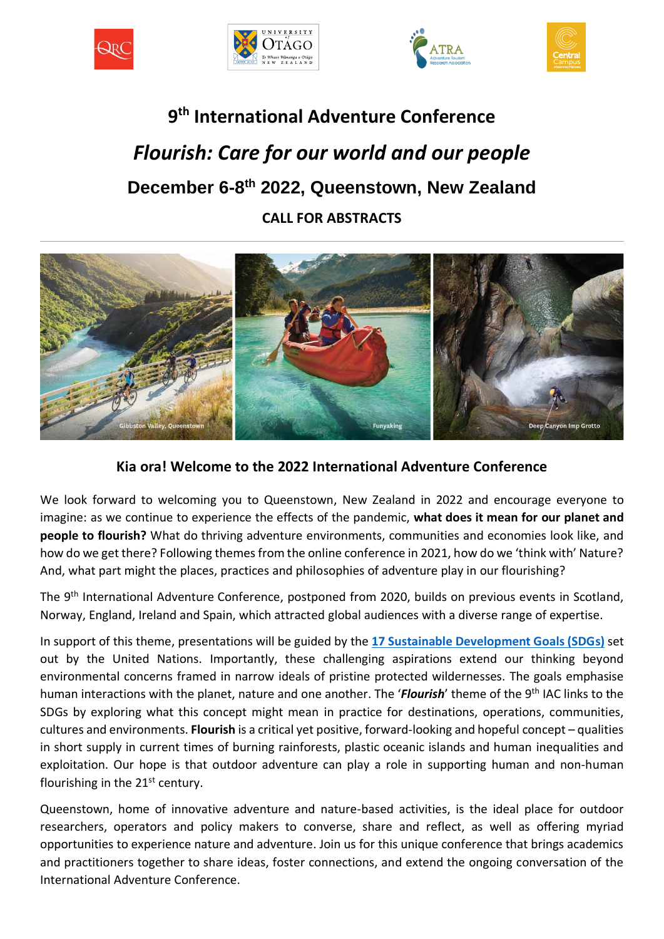







# **9 th International Adventure Conference** *Flourish: Care for our world and our people* **December 6-8 th 2022, Queenstown, New Zealand CALL FOR ABSTRACTS**



## **Kia ora! Welcome to the 2022 International Adventure Conference**

We look forward to welcoming you to Queenstown, New Zealand in 2022 and encourage everyone to imagine: as we continue to experience the effects of the pandemic, **what does it mean for our planet and people to flourish?** What do thriving adventure environments, communities and economies look like, and how do we get there? Following themes from the online conference in 2021, how do we 'think with' Nature? And, what part might the places, practices and philosophies of adventure play in our flourishing?

The 9<sup>th</sup> International Adventure Conference, postponed from 2020, builds on previous events in Scotland, Norway, England, Ireland and Spain, which attracted global audiences with a diverse range of expertise.

In support of this theme, presentations will be guided by the **[17 Sustainable Development Goals \(SDGs\)](https://www.un.org/sustainabledevelopment)** set out by the United Nations. Importantly, these challenging aspirations extend our thinking beyond environmental concerns framed in narrow ideals of pristine protected wildernesses. The goals emphasise human interactions with the planet, nature and one another. The '*Flourish*' theme of the 9<sup>th</sup> IAC links to the SDGs by exploring what this concept might mean in practice for destinations, operations, communities, cultures and environments. **Flourish** is a critical yet positive, forward-looking and hopeful concept – qualities in short supply in current times of burning rainforests, plastic oceanic islands and human inequalities and exploitation. Our hope is that outdoor adventure can play a role in supporting human and non-human flourishing in the  $21<sup>st</sup>$  century.

Queenstown, home of innovative adventure and nature-based activities, is the ideal place for outdoor researchers, operators and policy makers to converse, share and reflect, as well as offering myriad opportunities to experience nature and adventure. Join us for this unique conference that brings academics and practitioners together to share ideas, foster connections, and extend the ongoing conversation of the International Adventure Conference.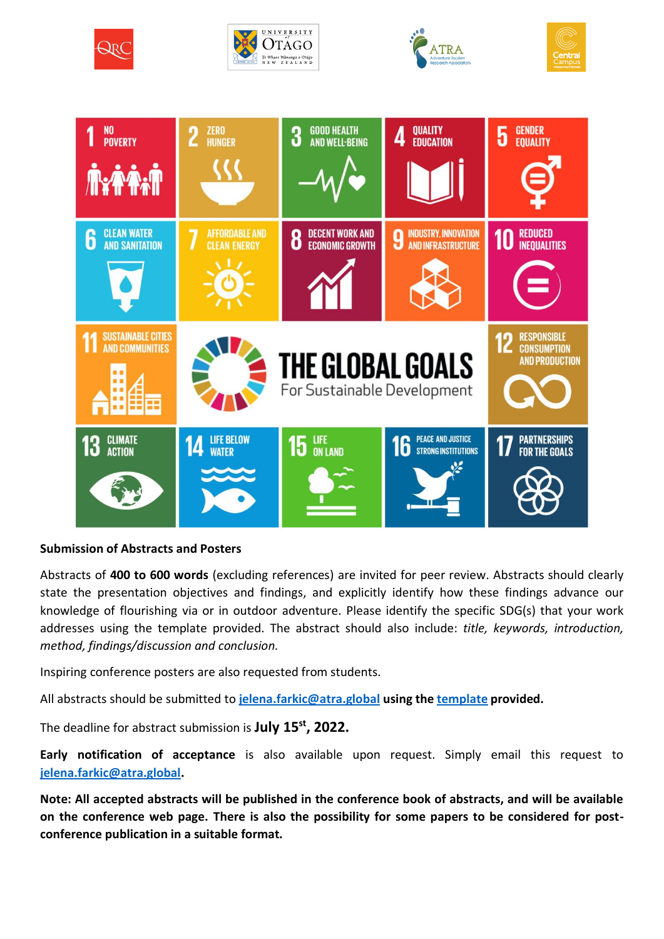









### **Submission of Abstracts and Posters**

Abstracts of **400 to 600 words** (excluding references) are invited for peer review. Abstracts should clearly state the presentation objectives and findings, and explicitly identify how these findings advance our knowledge of flourishing via or in outdoor adventure. Please identify the specific SDG(s) that your work addresses using the template provided. The abstract should also include: *title, keywords, introduction, method, findings/discussion and conclusion.* 

Inspiring conference posters are also requested from students.

All abstracts should be submitted to **[jelena.farkic@atra.global](mailto:jelena.farkic@atra.global) using th[e template](https://atra.global/abstract-submission-3/) provided.**

The deadline for abstract submission is **July 15 st, 2022.**

**Early notification of acceptance** is also available upon request. Simply email this request to **[jelena.farkic@atra.global.](mailto:jelena.farkic@atra.global)**

**Note: All accepted abstracts will be published in the conference book of abstracts, and will be available on the conference web page. There is also the possibility for some papers to be considered for postconference publication in a suitable format.**